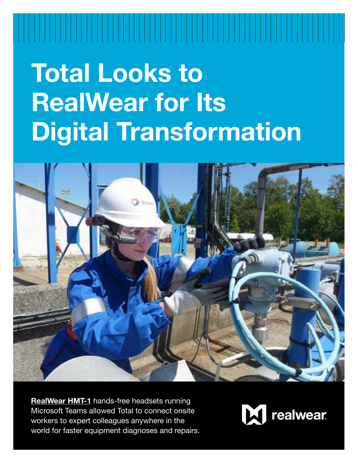# **Total Looks to RealWear for Its Digital Transformation**



**[RealWear HMT-1](https://realwear.com/products/hmt-1/)** hands-free headsets running Microsoft Teams allowed Total to connect onsite workers to expert colleagues anywhere in the world for faster equipment diagnoses and repairs.

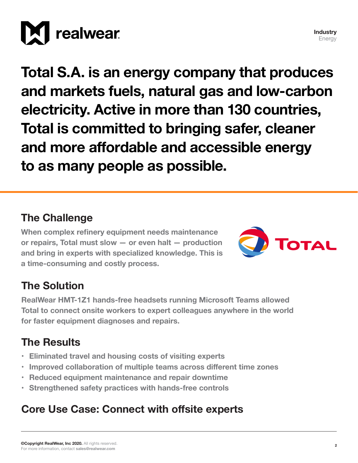

**Total S.A. is an energy company that produces and markets fuels, natural gas and low-carbon electricity. Active in more than 130 countries, Total is committed to bringing safer, cleaner and more affordable and accessible energy to as many people as possible.**

## **The Challenge**

**When complex refinery equipment needs maintenance or repairs, Total must slow — or even halt — production and bring in experts with specialized knowledge. This is a time-consuming and costly process.**



**Industry** Energy

## **The Solution**

**RealWear HMT-1Z1 hands-free headsets running Microsoft Teams allowed Total to connect onsite workers to expert colleagues anywhere in the world for faster equipment diagnoses and repairs.**

## **The Results**

- **• Eliminated travel and housing costs of visiting experts**
- **• Improved collaboration of multiple teams across different time zones**
- **• Reduced equipment maintenance and repair downtime**
- **• Strengthened safety practices with hands-free controls**

## **Core Use Case: Connect with offsite experts**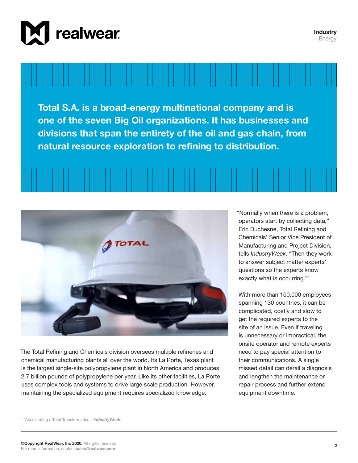

### **Industry** Energy

**Total S.A. is a broad-energy multinational company and is one of the seven Big Oil organizations. It has businesses and divisions that span the entirety of the oil and gas chain, from natural resource exploration to refining to distribution.**



The Total Refining and Chemicals division oversees multiple refineries and chemical manufacturing plants all over the world. Its La Porte, Texas plant is the largest single-site polypropylene plant in North America and produces 2.7 billion pounds of polypropylene per year. Like its other facilities, La Porte uses complex tools and systems to drive large scale production. However, maintaining the specialized equipment requires specialized knowledge.

"Normally when there is a problem, operators start by collecting data," Eric Duchesne, Total Refining and Chemicals' Senior Vice President of Manufacturing and Project Division, tells *IndustryWeek*. "Then they work to answer subject matter experts' questions so the experts know exactly what is occurring."1

With more than 100,000 employees spanning 130 countries, it can be complicated, costly and slow to get the required experts to the site of an issue. Even if traveling is unnecessary or impractical, the onsite operator and remote experts need to pay special attention to their communications. A single missed detail can derail a diagnosis and lengthen the maintenance or repair process and further extend equipment downtime.

1 "Accelerating a Total Transformation," *[IndustryWeek](https://www.industryweek.com/technology-and-iiot/article/21137563/realizing-a-total-transformation)*.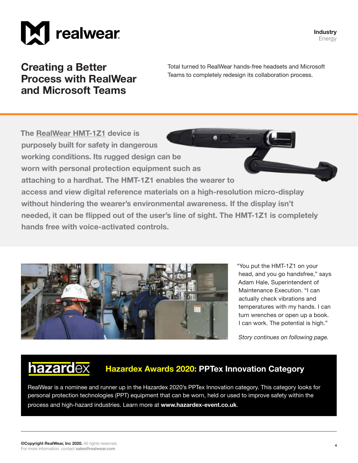

**Industry** Energy

## **Creating a Better Process with RealWear and Microsoft Teams**

Total turned to RealWear hands-free headsets and Microsoft Teams to completely redesign its collaboration process.

**The [RealWear HMT-1Z1](https://realwear.com/products/hmt-1/) device is purposely built for safety in dangerous working conditions. Its rugged design can be worn with personal protection equipment such as attaching to a hardhat. The HMT-1Z1 enables the wearer to access and view digital reference materials on a high-resolution micro-display without hindering the wearer's environmental awareness. If the display isn't needed, it can be flipped out of the user's line of sight. The HMT-1Z1 is completely hands free with voice-activated controls.**



"You put the HMT-1Z1 on your head, and you go handsfree," says Adam Hale, Superintendent of Maintenance Execution. "I can actually check vibrations and temperatures with my hands. I can turn wrenches or open up a book. I can work. The potential is high."

*Story continues on following page.*

### **hazardex Hazardex Awards 2020: PPTex Innovation Category**

RealWear is a nominee and runner up in the Hazardex 2020's PPTex Innovation category. This category looks for personal protection technologies (PPT) equipment that can be worn, held or used to improve safety within the process and high-hazard industries. Learn more at **[www.hazardex-event.co.uk](http://www.hazardex-event.co.uk)**.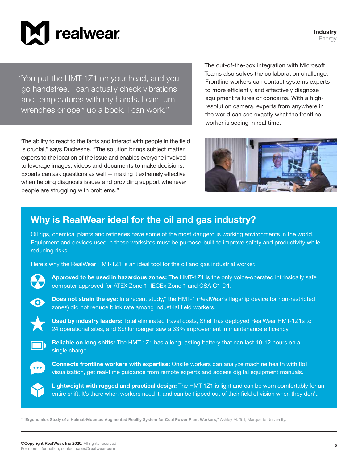# realwear

**Industry** Energy

"You put the HMT-1Z1 on your head, and you go handsfree. I can actually check vibrations and temperatures with my hands. I can turn wrenches or open up a book. I can work."

"The ability to react to the facts and interact with people in the field is crucial," says Duchesne. "The solution brings subject matter experts to the location of the issue and enables everyone involved to leverage images, videos and documents to make decisions. Experts can ask questions as well — making it extremely effective when helping diagnosis issues and providing support whenever people are struggling with problems."

The out-of-the-box integration with Microsoft Teams also solves the collaboration challenge. Frontline workers can contact systems experts to more efficiently and effectively diagnose equipment failures or concerns. With a highresolution camera, experts from anywhere in the world can see exactly what the frontline worker is seeing in real time.



## **Why is RealWear ideal for the oil and gas industry?**

Oil rigs, chemical plants and refineries have some of the most dangerous working environments in the world. Equipment and devices used in these worksites must be purpose-built to improve safety and productivity while reducing risks.

Here's why the RealWear HMT-1Z1 is an ideal tool for the oil and gas industrial worker.



**Approved to be used in hazardous zones:** The HMT-1Z1 is the only voice-operated intrinsically safe computer approved for ATEX Zone 1, IECEx Zone 1 and CSA C1-D1.



**Does not strain the eye:** In a recent study,\* the HMT-1 (RealWear's flagship device for non-restricted zones) did not reduce blink rate among industrial field workers.



**Used by industry leaders:** Total eliminated travel costs, Shell has deployed RealWear HMT-1Z1s to 24 operational sites, and Schlumberger saw a 33% improvement in maintenance efficiency.



**Reliable on long shifts:** The HMT-1Z1 has a long-lasting battery that can last 10-12 hours on a single charge.



**Connects frontline workers with expertise:** Onsite workers can analyze machine health with IIoT visualization, get real-time guidance from remote experts and access digital equipment manuals.

**Lightweight with rugged and practical design:** The HMT-1Z1 is light and can be worn comfortably for an entire shift. It's there when workers need it, and can be flipped out of their field of vision when they don't.

\* "**[Ergonomics Study of a Helmet-Mounted Augmented Reality System for Coal Power Plant Workers](https://epublications.marquette.edu/theses_open/527/)**," Ashley M. Toll, Marquette University.